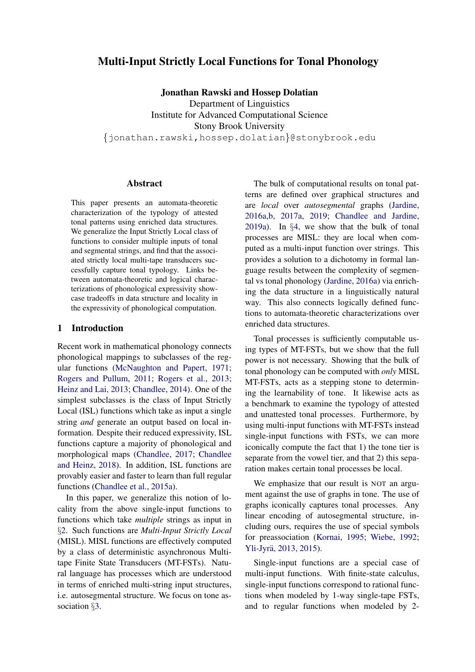# Multi-Input Strictly Local Functions for Tonal Phonology

Jonathan Rawski and Hossep Dolatian

Department of Linguistics Institute for Advanced Computational Science Stony Brook University *{*jonathan.rawski,hossep.dolatian*}*@stonybrook.edu

### Abstract

This paper presents an automata-theoretic characterization of the typology of attested tonal patterns using enriched data structures. We generalize the Input Strictly Local class of functions to consider multiple inputs of tonal and segmental strings, and find that the associated strictly local multi-tape transducers successfully capture tonal typology. Links between automata-theoretic and logical characterizations of phonological expressivity showcase tradeoffs in data structure and locality in the expressivity of phonological computation.

## 1 Introduction

Recent work in mathematical phonology connects phonological mappings to subclasses of the regular functions [\(McNaughton and Papert,](#page-9-0) [1971;](#page-9-0) [Rogers and Pullum,](#page-9-1) [2011;](#page-9-1) [Rogers et al.,](#page-9-2) [2013;](#page-9-2) [Heinz and Lai,](#page-9-3) [2013;](#page-9-3) [Chandlee,](#page-8-0) [2014\)](#page-8-0). One of the simplest subclasses is the class of Input Strictly Local (ISL) functions which take as input a single string *and* generate an output based on local information. Despite their reduced expressivity, ISL functions capture a majority of phonological and morphological maps [\(Chandlee,](#page-8-1) [2017;](#page-8-1) [Chandlee](#page-9-4) [and Heinz,](#page-9-4) [2018\)](#page-9-4). In addition, ISL functions are provably easier and faster to learn than full regular functions [\(Chandlee et al.,](#page-8-2) [2015a\)](#page-8-2).

In this paper, we generalize this notion of locality from the above single-input functions to functions which take *multiple* strings as input in *§*[2.](#page-1-0) Such functions are *Multi-Input Strictly Local* (MISL). MISL functions are effectively computed by a class of deterministic asynchronous Multitape Finite State Transducers (MT-FSTs). Natural language has processes which are understood in terms of enriched multi-string input structures, i.e. autosegmental structure. We focus on tone association *§*[3.](#page-3-0)

The bulk of computational results on tonal patterns are defined over graphical structures and are *local* over *autosegmental* graphs [\(Jardine,](#page-9-5) [2016a,](#page-9-5)[b,](#page-9-6) [2017a,](#page-9-7) [2019;](#page-9-8) [Chandlee and Jardine,](#page-9-9) [2019a\)](#page-9-9). In *§*[4,](#page-3-1) we show that the bulk of tonal processes are MISL: they are local when computed as a multi-input function over strings. This provides a solution to a dichotomy in formal language results between the complexity of segmental vs tonal phonology [\(Jardine,](#page-9-5) [2016a\)](#page-9-5) via enriching the data structure in a linguistically natural way. This also connects logically defined functions to automata-theoretic characterizations over enriched data structures.

Tonal processes is sufficiently computable using types of MT-FSTs, but we show that the full power is not necessary. Showing that the bulk of tonal phonology can be computed with *only* MISL MT-FSTs, acts as a stepping stone to determining the learnability of tone. It likewise acts as a benchmark to examine the typology of attested and unattested tonal processes. Furthermore, by using multi-input functions with MT-FSTs instead single-input functions with FSTs, we can more iconically compute the fact that 1) the tone tier is separate from the vowel tier, and that 2) this separation makes certain tonal processes be local.

We emphasize that our result is NOT an argument against the use of graphs in tone. The use of graphs iconically captures tonal processes. Any linear encoding of autosegmental structure, including ours, requires the use of special symbols for preassociation [\(Kornai,](#page-9-10) [1995;](#page-9-10) [Wiebe,](#page-9-11) [1992;](#page-9-11) Yli-Jyrä, [2013,](#page-9-12) [2015\)](#page-9-13).

Single-input functions are a special case of multi-input functions. With finite-state calculus, single-input functions correspond to rational functions when modeled by 1-way single-tape FSTs, and to regular functions when modeled by 2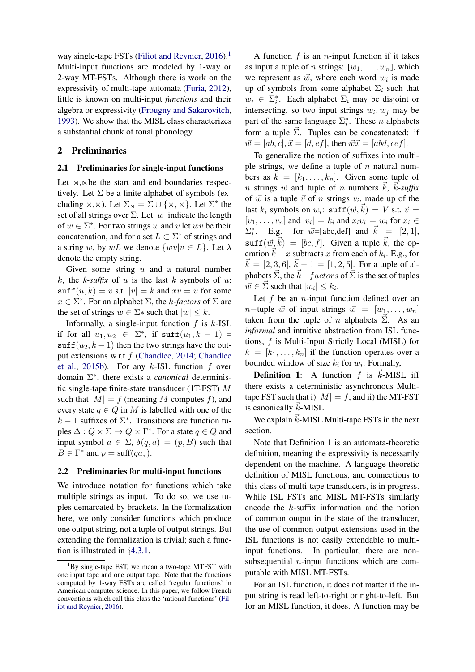way single-tape FSTs [\(Filiot and Reynier,](#page-9-14)  $2016$ ).<sup>1</sup> Multi-input functions are modeled by 1-way or 2-way MT-FSTs. Although there is work on the expressivity of multi-tape automata [\(Furia,](#page-9-15) [2012\)](#page-9-15), little is known on multi-input *functions* and their algebra or expressivity [\(Frougny and Sakarovitch,](#page-9-16) [1993\)](#page-9-16). We show that the MISL class characterizes a substantial chunk of tonal phonology.

## <span id="page-1-0"></span>2 Preliminaries

#### 2.1 Preliminaries for single-input functions

Let  $\rtimes$ , $\ltimes$  be the start and end boundaries respectively. Let  $\Sigma$  be a finite alphabet of symbols (excluding  $\rtimes,\ltimes$ ). Let  $\Sigma_{\rtimes} = \Sigma \cup \{\rtimes,\ltimes\}$ . Let  $\Sigma^*$  the set of all strings over  $\Sigma$ . Let  $|w|$  indicate the length of  $w \in \Sigma^*$ . For two strings *w* and *v* let *wv* be their concatenation, and for a set  $L \subset \Sigma^*$  of strings and a string *w*, by *wL* we denote  $\{wv|v \in L\}$ . Let  $\lambda$ denote the empty string.

Given some string *u* and a natural number *k*, the *k-suffix* of *u* is the last *k* symbols of *u*:  $\text{suffix}(u, k) = v \text{ s.t. } |v| = k \text{ and } xv = u \text{ for some }$  $x \in \Sigma^*$ . For an alphabet  $\Sigma$ , the *k*-factors of  $\Sigma$  are the set of strings  $w \in \Sigma^*$  such that  $|w| \leq k$ .

Informally, a single-input function *f* is *k*-ISL if for all  $u_1, u_2 \in \Sigma^*$ , if  $\text{suffix}(u_1, k-1)$  $\text{suffix}(u_2, k-1)$  then the two strings have the output extensions w.r.t *f* [\(Chandlee,](#page-8-0) [2014;](#page-8-0) [Chandlee](#page-8-3) [et al.,](#page-8-3) [2015b\)](#page-8-3). For any *k*-ISL function *f* over domain  $\Sigma^*$ , there exists a *canonical* deterministic single-tape finite-state transducer (1T-FST) *M* such that  $|M| = f$  (meaning *M* computes *f*), and every state  $q \in Q$  in *M* is labelled with one of the  $k-1$  suffixes of  $\Sigma^*$ . Transitions are function tuples  $\Delta: Q \times \Sigma \rightarrow Q \times \Gamma^*$ . For a state  $q \in Q$  and input symbol  $a \in \Sigma$ ,  $\delta(q, a) = (p, B)$  such that  $B \in \Gamma^*$  and  $p = \text{suffix}(qa)$ .

#### <span id="page-1-2"></span>2.2 Preliminaries for multi-input functions

We introduce notation for functions which take multiple strings as input. To do so, we use tuples demarcated by brackets. In the formalization here, we only consider functions which produce one output string, not a tuple of output strings. But extending the formalization is trivial; such a function is illustrated in *§*[4.3.1.](#page-7-0)

A function *f* is an *n*-input function if it takes as input a tuple of *n* strings:  $[w_1, \ldots, w_n]$ , which we represent as  $\vec{w}$ , where each word  $w_i$  is made up of symbols from some alphabet  $\Sigma_i$  such that  $w_i \in \Sigma_i^*$ . Each alphabet  $\Sigma_i$  may be disjoint or intersecting, so two input strings  $w_i, w_j$  may be part of the same language  $\Sigma_i^*$ . These *n* alphabets form a tuple  $\overline{\Sigma}$ . Tuples can be concatenated: if  $\vec{w} = [ab, c], \vec{x} = [d, ef],$  then  $\vec{w}\vec{x} = [abd, cef].$ 

To generalize the notion of suffixes into multiple strings, we define a tuple of *n* natural numbers as  $\vec{k} = [k_1, \ldots, k_n]$ . Given some tuple of *n* strings  $\vec{w}$  and tuple of *n* numbers  $\vec{k}$ ,  $\vec{k}$ -suffix of  $\vec{w}$  is a tuple  $\vec{v}$  of *n* strings  $v_i$ , made up of the last  $k_i$  symbols on  $w_i$ :  $\text{suffix}(\vec{w}, \vec{k}) = V \text{ s.t. } \vec{v} =$  $[v_1, \ldots, v_n]$  and  $|v_i| = k_i$  and  $x_i v_i = w_i$  for  $x_i \in$  $\Sigma_i^*$ . E.g. for  $\vec{w}$ =[abc,def] and  $\vec{k} = [2, 1]$ ,  $\text{surf}(\vec{w}, \vec{k}) = [bc, f]$ . Given a tuple  $\vec{k}$ , the operation  $\vec{k} - x$  subtracts *x* from each of  $k_i$ . E.g., for  $\vec{k} = [2, 3, 6]$ .  $\vec{k} - 1 = [1, 2, 5]$ . For a tuple of al- $\vec{k} = [2, 3, 6], \vec{k} - 1 = [1, 2, 5].$  For a tuple of alphabets  $\vec{\Sigma}$ , the  $\vec{k}$  –  $factors$  of  $\vec{\Sigma}$  is the set of tuples  $\vec{w} \in \vec{\Sigma}$  such that  $|w_i| \leq k_i$ .

Let *f* be an *n*-input function defined over an *n*-tuple  $\vec{w}$  of input strings  $\vec{w} = [w_1, \ldots, w_n]$ taken from the tuple of *n* alphabets  $\vec{\Sigma}$ . As an *informal* and intuitive abstraction from ISL functions, *f* is Multi-Input Strictly Local (MISL) for  $k = [k_1, \ldots, k_n]$  if the function operates over a bounded window of size  $k_i$  for  $w_i$ . Formally,

**Definition 1:** A function  $f$  is  $\vec{k}$ -MISL iff there exists a deterministic asynchronous Multitape FST such that i)  $|M| = f$ , and ii) the MT-FST is canonically  $\vec{k}$ -MISL

We explain  $\vec{k}$ -MISL Multi-tape FSTs in the next section.

Note that Definition 1 is an automata-theoretic definition, meaning the expressivity is necessarily dependent on the machine. A language-theoretic definition of MISL functions, and connections to this class of multi-tape transducers, is in progress. While ISL FSTs and MISL MT-FSTs similarly encode the *k*-suffix information and the notion of common output in the state of the transducer, the use of common output extensions used in the ISL functions is not easily extendable to multiinput functions. In particular, there are nonsubsequential *n*-input functions which are computable with MISL MT-FSTs.

For an ISL function, it does not matter if the input string is read left-to-right or right-to-left. But for an MISL function, it does. A function may be

<span id="page-1-1"></span><sup>&</sup>lt;sup>1</sup>By single-tape FST, we mean a two-tape MTFST with one input tape and one output tape. Note that the functions computed by 1-way FSTs are called 'regular functions' in American computer science. In this paper, we follow French conventions which call this class the 'rational functions' [\(Fil](#page-9-14)[iot and Reynier,](#page-9-14) [2016\)](#page-9-14).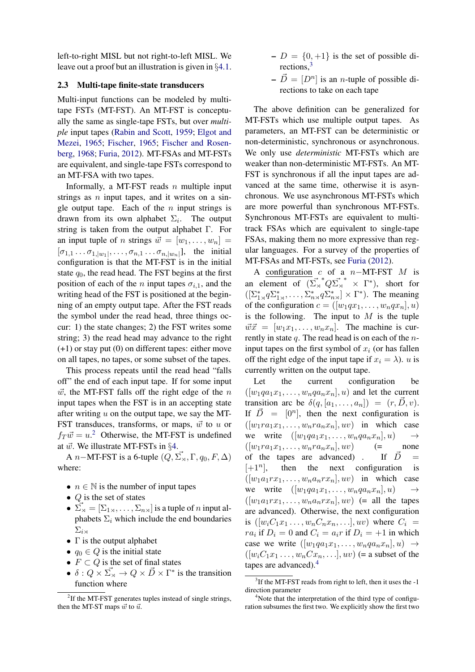left-to-right MISL but not right-to-left MISL. We leave out a proof but an illustration is given in *§*[4.1.](#page-4-0)

## 2.3 Multi-tape finite-state transducers

Multi-input functions can be modeled by multitape FSTs (MT-FST). An MT-FST is conceptually the same as single-tape FSTs, but over *multiple* input tapes [\(Rabin and Scott,](#page-9-17) [1959;](#page-9-17) [Elgot and](#page-9-18) [Mezei,](#page-9-18) [1965;](#page-9-18) [Fischer,](#page-9-19) [1965;](#page-9-19) [Fischer and Rosen](#page-9-20)[berg,](#page-9-20) [1968;](#page-9-20) [Furia,](#page-9-15) [2012\)](#page-9-15). MT-FSAs and MT-FSTs are equivalent, and single-tape FSTs correspond to an MT-FSA with two tapes.

Informally, a MT-FST reads *n* multiple input strings as *n* input tapes, and it writes on a single output tape. Each of the *n* input strings is drawn from its own alphabet  $\Sigma_i$ . The output string is taken from the output alphabet  $\Gamma$ . For an input tuple of *n* strings  $\vec{w} = [w_1, \ldots, w_n] =$  $[\sigma_{1,1} \ldots \sigma_{1,|w_1|}, \ldots, \sigma_{n,1} \ldots \sigma_{n,|w_n|}],$  the initial configuration is that the MT-FST is in the initial state  $q_0$ , the read head. The FST begins at the first position of each of the *n* input tapes  $\sigma_{i,1}$ , and the writing head of the FST is positioned at the beginning of an empty output tape. After the FST reads the symbol under the read head, three things occur: 1) the state changes; 2) the FST writes some string; 3) the read head may advance to the right (+1) or stay put (0) on different tapes: either move on all tapes, no tapes, or some subset of the tapes.

This process repeats until the read head "falls off" the end of each input tape. If for some input  $\vec{w}$ , the MT-FST falls off the right edge of the *n* input tapes when the FST is in an accepting state after writing *u* on the output tape, we say the MT-FST transduces, transforms, or maps,  $\vec{w}$  to  $u$  or  $f_T \vec{w} = u^2$  $f_T \vec{w} = u^2$  Otherwise, the MT-FST is undefined at *w*~. We illustrate MT-FSTs in *§*[4.](#page-3-1)

A *n*–MT-FST is a 6-tuple  $(Q, \vec{\Sigma}_{\times}, \Gamma, q_0, F, \Delta)$ where:

- $n \in \mathbb{N}$  is the number of input tapes
- *• Q* is the set of states
- $\vec{\Sigma}_{\bowtie} = [\Sigma_{1\rtimes}, \dots, \Sigma_{n\rtimes}]$  is a tuple of *n* input alphabets  $\Sigma_i$  which include the end boundaries  $\sum_{i\leq n}$
- $\Gamma$  is the output alphabet
- $q_0 \in Q$  is the initial state
- $F \subset Q$  is the set of final states
- $\delta: Q \times \overrightarrow{\Sigma}_{\times} \to Q \times \overrightarrow{D} \times \Gamma^*$  is the transition function where
- $-D = \{0, +1\}$  is the set of possible directions[,3](#page-2-1)
- $-\vec{D} = [D^n]$  is an *n*-tuple of possible directions to take on each tape

The above definition can be generalized for MT-FSTs which use multiple output tapes. As parameters, an MT-FST can be deterministic or non-deterministic, synchronous or asynchronous. We only use *deterministic* MT-FSTs which are weaker than non-deterministic MT-FSTs. An MT-FST is synchronous if all the input tapes are advanced at the same time, otherwise it is asynchronous. We use asynchronous MT-FSTs which are more powerful than synchronous MT-FSTs. Synchronous MT-FSTs are equivalent to multitrack FSAs which are equivalent to single-tape FSAs, making them no more expressive than regular languages. For a survey of the properties of MT-FSAs and MT-FSTs, see [Furia](#page-9-15) [\(2012\)](#page-9-15).

A configuration  $c$  of a  $n-MT\text{-}FST$   $M$  is an element of  $(\Sigma_{\rtimes}^* Q \Sigma_{\rtimes}^* \times \Gamma^*)$ , short for  $([\Sigma_{1\times}^* q \Sigma_{1\times}^*, \dots, \Sigma_{n\times}^* q \Sigma_{n\times}^*] \times \Gamma^*).$  The meaning of the configuration  $c = ([w_1qx_1, \ldots, w_nqx_n], u)$ is the following. The input to *M* is the tuple  $\vec{w}\vec{x} = [w_1x_1,\ldots,w_nx_n]$ . The machine is currently in state *q*. The read head is on each of the *n*input tapes on the first symbol of  $x_i$  (or has fallen off the right edge of the input tape if  $x_i = \lambda$ ). *u* is currently written on the output tape.

Let the current configuration be  $([w_1qa_1x_1,\ldots,w_nqa_nx_n],u)$  and let the current transition arc be  $\delta(q, [a_1, \ldots, a_n]) = (r, \vec{D}, v)$ . If  $\overrightarrow{D}$  =  $[0^n]$ , then the next configuration is  $([w_1ra_1x_1,\ldots,w_nra_nx_n],uv)$  in which case we write  $([w_1qa_1x_1,\ldots,w_nqa_nx_n],u) \rightarrow$ <br> $([w_1ra_1x_1,\ldots,w_nra_nx_n],uv)$   $(=$  none  $([w_1ra_1x_1,\ldots,w_nra_nx_n],uv)$ of the tapes are advanced) . If  $\overrightarrow{D}$  =  $[+1^n]$ , then the next configuration is  $([w_1a_1rx_1,\ldots,w_na_nrx_n],uv)$  in which case we write  $([w_1qa_1x_1,\ldots,w_nqa_nx_n],u) \rightarrow$  $([w_1a_1rx_1,\ldots,w_na_nrx_n],uv)$  (= all the tapes are advanced). Otherwise, the next configuration is  $([w_i C_1 x_1 \ldots, w_n C_n x_n, \ldots], uv)$  where  $C_i =$ *ra*<sup>*i*</sup> if  $D_i = 0$  and  $C_i = a_i r$  if  $D_i = +1$  in which case we write  $([w_1qa_1x_1,\ldots,w_nqa_nx_n],u) \rightarrow$  $([w_iC_1x_1 \ldots, w_nCx_n, \ldots], uv)$  (= a subset of the tapes are advanced)[.4](#page-2-2)

<span id="page-2-0"></span><sup>&</sup>lt;sup>2</sup>If the MT-FST generates tuples instead of single strings, then the MT-ST maps  $\vec{w}$  to  $\vec{u}$ .

<span id="page-2-1"></span><sup>&</sup>lt;sup>3</sup>If the MT-FST reads from right to left, then it uses the -1 direction parameter

<span id="page-2-2"></span><sup>&</sup>lt;sup>4</sup>Note that the interpretation of the third type of configuration subsumes the first two. We explicitly show the first two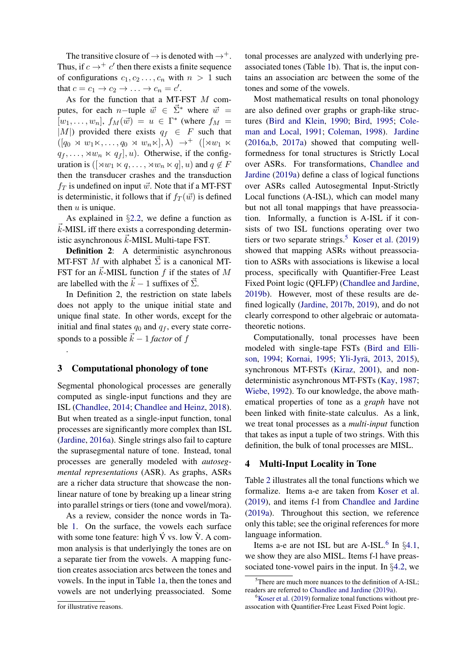The transitive closure of  $\rightarrow$  is denoted with  $\rightarrow^+$ . Thus, if  $c \rightarrow + c'$  then there exists a finite sequence of configurations  $c_1, c_2, \ldots, c_n$  with  $n > 1$  such that  $c = c_1 \rightarrow c_2 \rightarrow \ldots \rightarrow c_n = c'$ .

As for the function that a MT-FST *M* computes, for each *n*-tuple  $\vec{w} \in \vec{\Sigma}^*$  where  $\vec{w} =$  $[w_1, \ldots, w_n]$ ,  $f_M(\vec{w}) = u \in \Gamma^*$  (where  $f_M =$ *|M|)* provided there exists  $q_f \in F$  such that  $([q_0 \rtimes w_1 \ltimes, \ldots, q_0 \rtimes w_n \ltimes], \lambda) \rightarrow^+ ([\rtimes w_1 \rtimes$  $q_f, \ldots, \forall w_n \times q_f$ , *u*). Otherwise, if the configuration is  $(\forall w_1 \times q, \dots, \forall w_n \times q, u)$  and  $q \notin F$ then the transducer crashes and the transduction  $f_T$  is undefined on input  $\vec{w}$ . Note that if a MT-FST is deterministic, it follows that if  $f_T(\vec{w})$  is defined then *u* is unique.

As explained in §[2.2,](#page-1-2) we define a function as *k*-MISL iff there exists a corresponding deterministic asynchronous  $\vec{k}$ -MISL Multi-tape FST.

Definition 2: A deterministic asynchronous MT-FST M with alphabet  $\vec{\Sigma}$  is a canonical MT-FST for an  $\vec{k}$ -MISL function  $f$  if the states of  $M$ are labelled with the  $\vec{k} - 1$  suffixes of  $\vec{\Sigma}$ .

In Definition 2, the restriction on state labels does not apply to the unique initial state and unique final state. In other words, except for the initial and final states  $q_0$  and  $q_f$ , every state corresponds to a possible  $\vec{k} - 1$  *factor* of *f* 

## <span id="page-3-0"></span>3 Computational phonology of tone

.

Segmental phonological processes are generally computed as single-input functions and they are ISL [\(Chandlee,](#page-8-0) [2014;](#page-8-0) [Chandlee and Heinz,](#page-9-4) [2018\)](#page-9-4). But when treated as a single-input function, tonal processes are significantly more complex than ISL [\(Jardine,](#page-9-5) [2016a\)](#page-9-5). Single strings also fail to capture the suprasegmental nature of tone. Instead, tonal processes are generally modeled with *autosegmental representations* (ASR). As graphs, ASRs are a richer data structure that showcase the nonlinear nature of tone by breaking up a linear string into parallel strings or tiers (tone and vowel/mora).

As a review, consider the nonce words in Table [1.](#page-4-1) On the surface, the vowels each surface with some tone feature: high  $\acute{V}$  vs. low  $\grave{V}$ . A common analysis is that underlyingly the tones are on a separate tier from the vowels. A mapping function creates association arcs between the tones and vowels. In the input in Table [1a](#page-4-1), then the tones and vowels are not underlying preassociated. Some tonal processes are analyzed with underlying preassociated tones (Table [1b](#page-4-1)). That is, the input contains an association arc between the some of the tones and some of the vowels.

Most mathematical results on tonal phonology are also defined over graphs or graph-like structures [\(Bird and Klein,](#page-8-4) [1990;](#page-8-4) [Bird,](#page-8-5) [1995;](#page-8-5) [Cole](#page-9-21)[man and Local,](#page-9-21) [1991;](#page-9-21) [Coleman,](#page-9-22) [1998\)](#page-9-22). [Jardine](#page-9-5) [\(2016a,](#page-9-5)[b,](#page-9-6) [2017a\)](#page-9-7) showed that computing wellformedness for tonal structures is Strictly Local over ASRs. For transformations, [Chandlee and](#page-9-9) [Jardine](#page-9-9) [\(2019a\)](#page-9-9) define a class of logical functions over ASRs called Autosegmental Input-Strictly Local functions (A-ISL), which can model many but not all tonal mappings that have preassociation. Informally, a function is A-ISL if it consists of two ISL functions operating over two tiers or two separate strings.<sup>[5](#page-3-2)</sup> [Koser et al.](#page-9-23)  $(2019)$ showed that mapping ASRs without preassociation to ASRs with associations is likewise a local process, specifically with Quantifier-Free Least Fixed Point logic (QFLFP) [\(Chandlee and Jardine,](#page-9-24) [2019b\)](#page-9-24). However, most of these results are defined logically [\(Jardine,](#page-9-25) [2017b,](#page-9-25) [2019\)](#page-9-8), and do not clearly correspond to other algebraic or automatatheoretic notions.

Computationally, tonal processes have been modeled with single-tape FSTs [\(Bird and Elli](#page-8-6)[son,](#page-8-6) [1994;](#page-8-6) [Kornai,](#page-9-10) [1995;](#page-9-10) Yli-Jyrä, [2013,](#page-9-12) [2015\)](#page-9-13), synchronous MT-FSTs [\(Kiraz,](#page-9-26) [2001\)](#page-9-26), and nondeterministic asynchronous MT-FSTs [\(Kay,](#page-9-27) [1987;](#page-9-27) [Wiebe,](#page-9-11) [1992\)](#page-9-11). To our knowledge, the above mathematical properties of tone as a *graph* have not been linked with finite-state calculus. As a link, we treat tonal processes as a *multi-input* function that takes as input a tuple of two strings. With this definition, the bulk of tonal processes are MISL.

### <span id="page-3-1"></span>4 Multi-Input Locality in Tone

Table [2](#page-5-0) illustrates all the tonal functions which we formalize. Items a-e are taken from [Koser et al.](#page-9-23) [\(2019\)](#page-9-23), and items f-l from [Chandlee and Jardine](#page-9-9) [\(2019a\)](#page-9-9). Throughout this section, we reference only this table; see the original references for more language information.

Items a-e are not ISL but are A-ISL.<sup>6</sup> In §[4.1,](#page-4-0) we show they are also MISL. Items f-l have preassociated tone-vowel pairs in the input. In *§*[4.2,](#page-6-0) we

for illustrative reasons.

<span id="page-3-2"></span><sup>&</sup>lt;sup>5</sup>There are much more nuances to the definition of A-ISL; readers are referred to [Chandlee and Jardine](#page-9-9) [\(2019a\)](#page-9-9).

<span id="page-3-3"></span><sup>&</sup>lt;sup>6</sup>[Koser et al.](#page-9-23) [\(2019\)](#page-9-23) formalize tonal functions without preassocation with Quantifier-Free Least Fixed Point logic.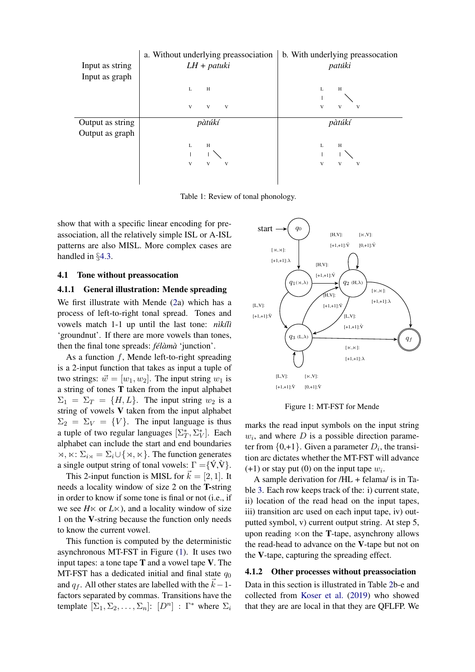<span id="page-4-1"></span>

Table 1: Review of tonal phonology.

show that with a specific linear encoding for preassociation, all the relatively simple ISL or A-ISL patterns are also MISL. More complex cases are handled in *§*[4.3.](#page-7-1)

## <span id="page-4-0"></span>4.1 Tone without preassocation

## <span id="page-4-3"></span>4.1.1 General illustration: Mende spreading

We first illustrate with Mende [\(2a](#page-5-0)) which has a process of left-to-right tonal spread. Tones and vowels match 1-1 up until the last tone: *n* $i$ *kilì* 'groundnut'. If there are more vowels than tones, then the final tone spreads: *félàmà* 'junction'.

As a function *f*, Mende left-to-right spreading is a 2-input function that takes as input a tuple of two strings:  $\vec{w} = [w_1, w_2]$ . The input string  $w_1$  is a string of tones T taken from the input alphabet  $\Sigma_1 = \Sigma_T = \{H, L\}$ . The input string  $w_2$  is a string of vowels V taken from the input alphabet  $\Sigma_2 = \Sigma_V = \{V\}$ . The input language is thus a tuple of two regular languages  $[\Sigma^*_T, \Sigma^*_V]$ . Each alphabet can include the start and end boundaries  $\alpha, \kappa \colon \Sigma_{i\alpha} = \Sigma_i \cup \{\alpha, \kappa\}.$  The function generates a single output string of tonal vowels:  $\Gamma = \{ \hat{V}, \hat{V} \}.$ 

This 2-input function is MISL for  $\vec{k} = [2, 1]$ . It needs a locality window of size 2 on the T-string in order to know if some tone is final or not (i.e., if we see  $H \times$  or  $L \times$ ), and a locality window of size 1 on the V-string because the function only needs to know the current vowel.

This function is computed by the deterministic asynchronous MT-FST in Figure [\(1\)](#page-4-2). It uses two input tapes: a tone tape  $T$  and a vowel tape  $V$ . The MT-FST has a dedicated initial and final state  $q_0$ and  $q_f$ . All other states are labelled with the  $\vec{k} - 1$ factors separated by commas. Transitions have the template  $[\Sigma_1, \Sigma_2, \dots, \Sigma_n]$ :  $[D^n]$ :  $\Gamma^*$  where  $\Sigma_i$ 

<span id="page-4-2"></span>

Figure 1: MT-FST for Mende

marks the read input symbols on the input string  $w_i$ , and where  $D$  is a possible direction parameter from  $\{0, +1\}$ . Given a parameter  $D_i$ , the transition arc dictates whether the MT-FST will advance  $(+1)$  or stay put (0) on the input tape  $w_i$ .

A sample derivation for /HL + felama/ is in Table [3.](#page-6-1) Each row keeps track of the: i) current state, ii) location of the read head on the input tapes, iii) transition arc used on each input tape, iv) outputted symbol, v) current output string. At step 5, upon reading  $\ltimes$  on the **T**-tape, asynchrony allows the read-head to advance on the V-tape but not on the V-tape, capturing the spreading effect.

## 4.1.2 Other processes without preassociation

Data in this section is illustrated in Table [2b](#page-5-0)-e and collected from [Koser et al.](#page-9-23) [\(2019\)](#page-9-23) who showed that they are are local in that they are QFLFP. We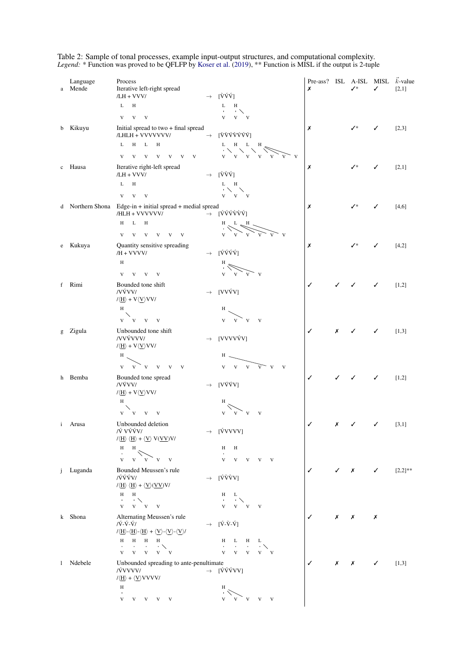| a            | Language<br>Mende | Process<br>Iterative left-right spread<br>/LH + VVV/                                                                                                                                                                                                                               |               | $\rightarrow$ [VVV]                                                                                                                                                                                                                                                                                                                         | Pre-ass? ISL A-ISL MISL<br>Х |   | ✓∗ | ✓ | $k$ -value<br>[2,1] |
|--------------|-------------------|------------------------------------------------------------------------------------------------------------------------------------------------------------------------------------------------------------------------------------------------------------------------------------|---------------|---------------------------------------------------------------------------------------------------------------------------------------------------------------------------------------------------------------------------------------------------------------------------------------------------------------------------------------------|------------------------------|---|----|---|---------------------|
|              |                   | L<br>H                                                                                                                                                                                                                                                                             |               | L<br>H                                                                                                                                                                                                                                                                                                                                      |                              |   |    |   |                     |
|              |                   | $V$ $V$ $V$                                                                                                                                                                                                                                                                        |               | $\rightarrow$ $\sim$<br>$V$ $V$ $V$                                                                                                                                                                                                                                                                                                         |                              |   |    |   |                     |
|              | b Kikuyu          | Initial spread to two + final spread<br>/LHLH + VVVVVVV/                                                                                                                                                                                                                           |               | $\rightarrow$ [VVVVVVV]                                                                                                                                                                                                                                                                                                                     | Х                            |   | ✓∗ | ✓ | [2,3]               |
|              |                   | H<br>L<br>$\mathbf{L}$<br>H                                                                                                                                                                                                                                                        |               | $L$ H $L$<br>H<br>ディーズ                                                                                                                                                                                                                                                                                                                      |                              |   |    |   |                     |
|              |                   | V V V V V V<br>V                                                                                                                                                                                                                                                                   |               | $V$ $V$ $V$<br>V<br>V                                                                                                                                                                                                                                                                                                                       |                              |   |    |   |                     |
|              | c Hausa           | Iterative right-left spread<br>/LH + VVV/                                                                                                                                                                                                                                          | $\rightarrow$ | [VVV]                                                                                                                                                                                                                                                                                                                                       | Х                            |   | ✓∗ | ✓ | [2,1]               |
|              |                   | L<br>H                                                                                                                                                                                                                                                                             |               | L H<br>・ヘーベ                                                                                                                                                                                                                                                                                                                                 |                              |   |    |   |                     |
|              |                   | V V<br>V                                                                                                                                                                                                                                                                           |               | $V$ $V$ $V$                                                                                                                                                                                                                                                                                                                                 |                              |   |    |   |                     |
|              |                   | d Northern Shona Edge-in + initial spread + medial spread<br>/HLH + VVVVVV/                                                                                                                                                                                                        |               | $\rightarrow$ [VVVVVV]                                                                                                                                                                                                                                                                                                                      | Х                            |   | ✓∗ | ✓ | [4,6]               |
|              |                   | L<br>Н<br>H                                                                                                                                                                                                                                                                        |               | $\begin{picture}(120,115) \put(0,0){\line(1,0){150}} \put(15,0){\line(1,0){150}} \put(15,0){\line(1,0){150}} \put(15,0){\line(1,0){150}} \put(15,0){\line(1,0){150}} \put(15,0){\line(1,0){150}} \put(15,0){\line(1,0){150}} \put(15,0){\line(1,0){150}} \put(15,0){\line(1,0){150}} \put(15,0){\line(1,0){150}} \put(15,0){\line(1,0){150$ |                              |   |    |   |                     |
|              |                   | V<br>V V V<br>V<br>$\mathbf{V}$                                                                                                                                                                                                                                                    |               |                                                                                                                                                                                                                                                                                                                                             |                              |   |    |   |                     |
|              | e Kukuya          | Quantity sensitive spreading<br>/H + VVVV/                                                                                                                                                                                                                                         | $\rightarrow$ | [ÝÝÝÝ]                                                                                                                                                                                                                                                                                                                                      | Х                            |   | ✓∗ | ✓ | [4,2]               |
|              |                   | $\,$ H                                                                                                                                                                                                                                                                             |               | Η                                                                                                                                                                                                                                                                                                                                           |                              |   |    |   |                     |
|              |                   | V<br>$V$ $V$ $V$                                                                                                                                                                                                                                                                   |               | V<br>V<br>V<br>V                                                                                                                                                                                                                                                                                                                            |                              |   |    |   |                     |
|              | f Rimi            | Bounded tone shift<br>/VÝVV/                                                                                                                                                                                                                                                       | $\rightarrow$ | [VVÝV]                                                                                                                                                                                                                                                                                                                                      | ✓                            | ✓ | ✓  | ✓ | $[1,2]$             |
|              |                   | $1\langle \underline{H} \rangle + V \langle \underline{V} \rangle V V /$<br>$\, {\rm H}$                                                                                                                                                                                           |               | H                                                                                                                                                                                                                                                                                                                                           |                              |   |    |   |                     |
|              |                   | ╲<br>$V$ $V$ $V$ $V$                                                                                                                                                                                                                                                               |               | $V - V$<br>V<br>V                                                                                                                                                                                                                                                                                                                           |                              |   |    |   |                     |
|              | g Zigula          | Unbounded tone shift                                                                                                                                                                                                                                                               |               |                                                                                                                                                                                                                                                                                                                                             | ✓                            | Х |    | ✓ | [1,3]               |
|              |                   | /VVÝVVV/<br>$1\langle \underline{H} \rangle + V \langle \underline{V} \rangle V V$                                                                                                                                                                                                 | $\rightarrow$ | [VVVVVV]                                                                                                                                                                                                                                                                                                                                    |                              |   |    |   |                     |
|              |                   | Н                                                                                                                                                                                                                                                                                  |               | Н.                                                                                                                                                                                                                                                                                                                                          |                              |   |    |   |                     |
|              |                   | $V$ $V$ $V$ $V$<br>$\mathbf{V}$<br>V                                                                                                                                                                                                                                               |               | $V$ $V$ $V$<br>V<br>V<br>V                                                                                                                                                                                                                                                                                                                  |                              |   |    |   |                     |
|              | h Bemba           | Bounded tone spread<br>/VÝVV/<br>$1\langle \underline{H} \rangle + V \langle \underline{V} \rangle V V /$                                                                                                                                                                          | $\rightarrow$ | [VÝÝV]                                                                                                                                                                                                                                                                                                                                      | ✓                            |   |    | ✓ | $[1,2]$             |
|              |                   | $\, {\rm H}$                                                                                                                                                                                                                                                                       |               | Н                                                                                                                                                                                                                                                                                                                                           |                              |   |    |   |                     |
|              |                   | ${\bf V}$ $ {\bf V}$ $ {\bf V}$ $ {\bf V}$                                                                                                                                                                                                                                         |               | V<br>V<br>V<br>v                                                                                                                                                                                                                                                                                                                            |                              |   |    |   |                     |
|              | <i>i</i> Arusa    | Unbounded deletion<br>/Ý VÝÝV/                                                                                                                                                                                                                                                     |               | $\rightarrow$ [ÝVVVV]                                                                                                                                                                                                                                                                                                                       | ✓                            | Х | ✓  | ✓ | [3,1]               |
|              |                   | $\langle \langle \underline{H} \rangle   \langle \underline{H} \rangle + \langle \underline{V} \rangle V(\underline{V}V)V \rangle$                                                                                                                                                 |               |                                                                                                                                                                                                                                                                                                                                             |                              |   |    |   |                     |
|              |                   | $\, {\rm H}$<br>H<br>$\blacksquare$                                                                                                                                                                                                                                                |               | Н<br>H                                                                                                                                                                                                                                                                                                                                      |                              |   |    |   |                     |
|              |                   | $\mathbf V$<br>$V$ $V$ $V$ $V$                                                                                                                                                                                                                                                     |               | V<br>V V V V                                                                                                                                                                                                                                                                                                                                |                              |   |    |   |                     |
|              | j Luganda         | Bounded Meussen's rule<br>/ÝÝÝV/                                                                                                                                                                                                                                                   | $\rightarrow$ | [ÝѶѶV]                                                                                                                                                                                                                                                                                                                                      | $\checkmark$                 |   | Х  | ✓ | $[2,2]^{**}$        |
|              |                   | $\langle \langle \underline{H} \rangle \langle \underline{H} \rangle + \langle \underline{V} \rangle (\underline{V} \underline{V}) V$                                                                                                                                              |               |                                                                                                                                                                                                                                                                                                                                             |                              |   |    |   |                     |
|              |                   | H<br>H<br>$\rightarrow$ $\sim$<br>$\mathbf{u}$ .                                                                                                                                                                                                                                   |               | H<br>L<br>$\sim$<br>$\rightarrow$                                                                                                                                                                                                                                                                                                           |                              |   |    |   |                     |
|              |                   | $V$ $V$ $V$ $V$                                                                                                                                                                                                                                                                    |               | $V$ $V$ $V$<br>$\mathbf{V}$                                                                                                                                                                                                                                                                                                                 |                              |   |    |   |                     |
|              | k Shona           | Alternating Meussen's rule                                                                                                                                                                                                                                                         |               |                                                                                                                                                                                                                                                                                                                                             | ✓                            | Х | Х  | Х |                     |
|              |                   | /Ý-Ý-Ý/<br>$\langle \langle \underline{\mathrm{H}} \rangle$ - $\langle \underline{\mathrm{H}} \rangle$ - $\langle \underline{\mathrm{H}} \rangle + \langle \underline{\mathrm{V}} \rangle$ - $\langle \underline{\mathrm{V}} \rangle$ - $\langle \underline{\mathrm{V}} \rangle$ / |               | $\rightarrow$ [V-V-V]                                                                                                                                                                                                                                                                                                                       |                              |   |    |   |                     |
|              |                   | H<br>H<br>H<br>H                                                                                                                                                                                                                                                                   |               | H<br>L<br>$H$ L                                                                                                                                                                                                                                                                                                                             |                              |   |    |   |                     |
|              |                   | $\sim$<br>$\rightarrow$<br>$V$ $V$ $V$ $V$<br>$\mathbf V$                                                                                                                                                                                                                          |               | $\sim$<br>$\mathbf{r}$<br>$V$ $V$<br>$\mathbf{V}$<br>V<br>$\mathbf{V}$                                                                                                                                                                                                                                                                      |                              |   |    |   |                     |
| $\mathbf{1}$ | Ndebele           | Unbounded spreading to ante-penultimate                                                                                                                                                                                                                                            |               |                                                                                                                                                                                                                                                                                                                                             | ✓                            | Х | Х  | ✓ | [1,3]               |
|              |                   | /ÝVVVV/<br>$1\langle \underline{H} \rangle + \langle \underline{V} \rangle V V V V$                                                                                                                                                                                                |               | $\rightarrow$ [VVVVV]                                                                                                                                                                                                                                                                                                                       |                              |   |    |   |                     |
|              |                   | $\, {\rm H}$                                                                                                                                                                                                                                                                       |               | Η                                                                                                                                                                                                                                                                                                                                           |                              |   |    |   |                     |
|              |                   | $V$ $V$ $V$ $V$ $V$                                                                                                                                                                                                                                                                |               | V<br>V<br>V                                                                                                                                                                                                                                                                                                                                 |                              |   |    |   |                     |

<span id="page-5-0"></span>Table 2: Sample of tonal processes, example input-output structures, and computational complexity. *Legend:* \* Function was proved to be QFLFP by [Koser et al.](#page-9-23) [\(2019\)](#page-9-23), \*\* Function is MISL if the output is 2-tuple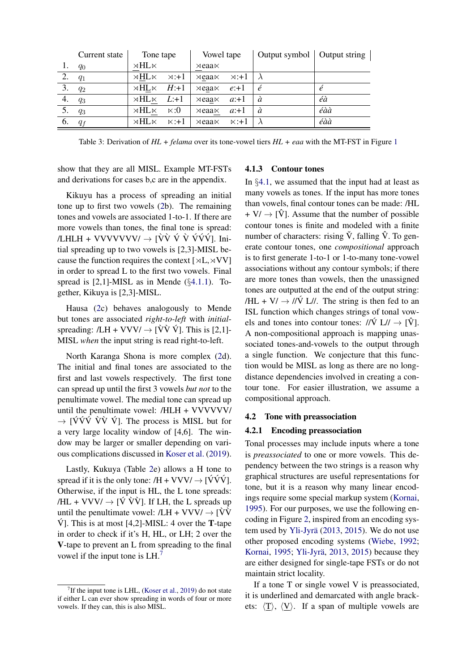<span id="page-6-1"></span>

|                  | Current state | Tone tape            |               | Vowel tape            |               | Output symbol   Output string |     |
|------------------|---------------|----------------------|---------------|-----------------------|---------------|-------------------------------|-----|
| 1.               | $q_0$         | $\times$ HL $\times$ |               | $\times$ eaa $\times$ |               |                               |     |
| 2.               | $q_1$         | $\times$ HL $\times$ | $\times : +1$ | $\times$ eaa $\times$ | $\times : +1$ |                               |     |
| $\overline{3}$ . | $q_2$         | $\times$ HL $\times$ | $H: +1$       | $\times$ eaa $\times$ | $e: +1$       | é                             |     |
| 4.               | $q_3$         | $\times$ HL $\times$ | $L: +1$       | $\times$ eaa $\times$ | $a: +1$       | à                             | éà  |
|                  | $q_3$         | $\times$ HL $\times$ | $\ltimes:0$   | $\times$ eaa $\times$ | $a: +1$       | à                             | éàà |
| 6.               | $q_f$         | $\times$ HL $\times$ | $\times: +1$  | $\times$ eaa $\times$ | $\times: +1$  |                               | éàà |

Table 3: Derivation of *HL + felama* over its tone-vowel tiers *HL + eaa* with the MT-FST in Figure [1](#page-4-2)

show that they are all MISL. Example MT-FSTs and derivations for cases b,c are in the appendix.

Kikuyu has a process of spreading an initial tone up to first two vowels [\(2b](#page-5-0)). The remaining tones and vowels are associated 1-to-1. If there are more vowels than tones, the final tone is spread: /LHLH + VVVVVVV/  $\rightarrow$  [VV V V VVV]. Initial spreading up to two vowels is [2,3]-MISL because the function requires the context  $[\forall L, \forall V]$ in order to spread L to the first two vowels. Final spread is [2,1]-MISL as in Mende (*§*[4.1.1\)](#page-4-3). Together, Kikuya is [2,3]-MISL.

Hausa [\(2c](#page-5-0)) behaves analogously to Mende but tones are associated *right-to-left* with *initial*spreading:  $/LH + VVV/ \rightarrow [\hat{V}\hat{V}\hat{V}]$ . This is [2,1]-MISL *when* the input string is read right-to-left.

North Karanga Shona is more complex [\(2d](#page-5-0)). The initial and final tones are associated to the first and last vowels respectively. The first tone can spread up until the first 3 vowels *but not* to the penultimate vowel. The medial tone can spread up until the penultimate vowel: /HLH + VVVVVV/  $\rightarrow$  [VVV VV V]. The process is MISL but for a very large locality window of [4,6]. The window may be larger or smaller depending on various complications discussed in [Koser et al.](#page-9-23) [\(2019\)](#page-9-23).

Lastly, Kukuya (Table [2e](#page-5-0)) allows a H tone to spread if it is the only tone:  $/H + VVV' \rightarrow [VVV']$ . Otherwise, if the input is HL, the L tone spreads: /HL + VVV/  $\rightarrow$  [V VV]. If LH, the L spreads up until the penultimate vowel:  $/LH + VVV/ \rightarrow \hat{V}V$  $\dot{V}$ ]. This is at most [4,2]-MISL: 4 over the **T**-tape in order to check if it's H, HL, or LH; 2 over the V-tape to prevent an L from spreading to the final vowel if the input tone is LH[.7](#page-6-2)

#### 4.1.3 Contour tones

In *§*[4.1,](#page-4-0) we assumed that the input had at least as many vowels as tones. If the input has more tones than vowels, final contour tones can be made: /HL  $+ V / \rightarrow |\hat{V}|$ . Assume that the number of possible contour tones is finite and modeled with a finite number of characters: rising  $\check{V}$ , falling  $\hat{V}$ . To generate contour tones, one *compositional* approach is to first generate 1-to-1 or 1-to-many tone-vowel associations without any contour symbols; if there are more tones than vowels, then the unassigned tones are outputted at the end of the output string: /HL + V/  $\rightarrow$  // $\acute{V}$  L//. The string is then fed to an ISL function which changes strings of tonal vowels and tones into contour tones:  $\frac{1}{\dot{V}} L \rightarrow \dot{V}$ ]. A non-compositional approach is mapping unassociated tones-and-vowels to the output through a single function. We conjecture that this function would be MISL as long as there are no longdistance dependencies involved in creating a contour tone. For easier illustration, we assume a compositional approach.

#### <span id="page-6-0"></span>4.2 Tone with preassociation

#### 4.2.1 Encoding preassociation

Tonal processes may include inputs where a tone is *preassociated* to one or more vowels. This dependency between the two strings is a reason why graphical structures are useful representations for tone, but it is a reason why many linear encodings require some special markup system [\(Kornai,](#page-9-10) [1995\)](#page-9-10). For our purposes, we use the following encoding in Figure [2,](#page-7-2) inspired from an encoding sys-tem used by Yli-Jyrä [\(2013,](#page-9-12) [2015\)](#page-9-13). We do not use other proposed encoding systems [\(Wiebe,](#page-9-11) [1992;](#page-9-11) [Kornai,](#page-9-10) [1995;](#page-9-10) Yli-Jyrä, [2013,](#page-9-12) [2015\)](#page-9-13) because they are either designed for single-tape FSTs or do not maintain strict locality.

If a tone T or single vowel V is preassociated, it is underlined and demarcated with angle brackets:  $\langle T \rangle$ ,  $\langle V \rangle$ . If a span of multiple vowels are

<span id="page-6-2"></span><sup>&</sup>lt;sup>7</sup> If the input tone is LHL, [\(Koser et al.,](#page-9-23) [2019\)](#page-9-23) do not state if either L can ever show spreading in words of four or more vowels. If they can, this is also MISL.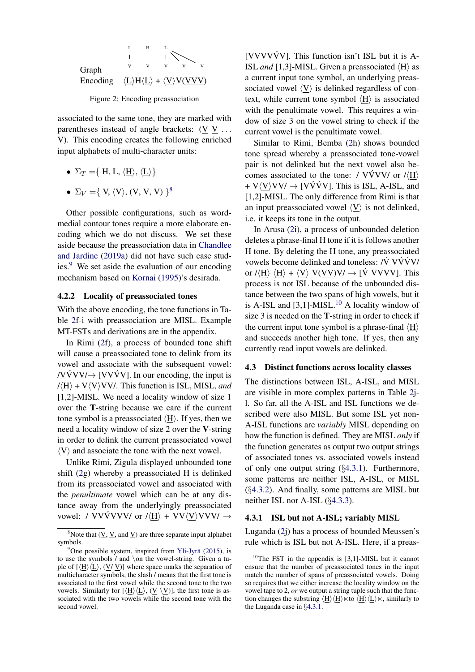<span id="page-7-2"></span>

Figure 2: Encoding preassociation

associated to the same tone, they are marked with parentheses instead of angle brackets: (V V *...* V). This encoding creates the following enriched input alphabets of multi-character units:

- $\Sigma_T = \{ H, L, \langle H \rangle, \langle L \rangle \}$
- $\Sigma_V = \{ V, \langle V \rangle, (V, V, V) \}^8$  $\Sigma_V = \{ V, \langle V \rangle, (V, V, V) \}^8$

Other possible configurations, such as wordmedial contour tones require a more elaborate encoding which we do not discuss. We set these aside because the preassociation data in [Chandlee](#page-9-9) [and Jardine](#page-9-9) [\(2019a\)](#page-9-9) did not have such case studies.<sup>9</sup> We set aside the evaluation of our encoding mechanism based on [Kornai](#page-9-10) [\(1995\)](#page-9-10)'s desirada.

#### 4.2.2 Locality of preassociated tones

With the above encoding, the tone functions in Table [2f](#page-5-0)-i with preassociation are MISL. Example MT-FSTs and derivations are in the appendix.

In Rimi [\(2f](#page-5-0)), a process of bounded tone shift will cause a preassociated tone to delink from its vowel and associate with the subsequent vowel: /VVV/ $\rightarrow$  [VVVV]. In our encoding, the input is  $\langle H \rangle$  + V $\langle V \rangle$ VV/. This function is ISL, MISL, *and* [1,2]-MISL. We need a locality window of size 1 over the T-string because we care if the current tone symbol is a preassociated  $\langle H \rangle$ . If yes, then we need a locality window of size 2 over the V-string in order to delink the current preassociated vowel  $\langle V \rangle$  and associate the tone with the next vowel.

Unlike Rimi, Zigula displayed unbounded tone shift [\(2g](#page-5-0)) whereby a preassociated H is delinked from its preassociated vowel and associated with the *penultimate* vowel which can be at any distance away from the underlyingly preassociated vowel: / VVVVVV/ or  $\ell \langle H \rangle + VV \langle V \rangle VVV / \rightarrow$ 

 $[VVVV\dot{V}V]$ . This function isn't ISL but it is A-ISL *and* [1,3]-MISL. Given a preassociated  $\langle H \rangle$  as a current input tone symbol, an underlying preassociated vowel  $\langle V \rangle$  is delinked regardless of context, while current tone symbol  $\langle H \rangle$  is associated with the penultimate vowel. This requires a window of size 3 on the vowel string to check if the current vowel is the penultimate vowel.

Similar to Rimi, Bemba [\(2h](#page-5-0)) shows bounded tone spread whereby a preassociated tone-vowel pair is not delinked but the next vowel also becomes associated to the tone: / VVVV/ or  $/ \langle H \rangle$  $+ V \langle V \rangle V V / \rightarrow [V \hat{V} \hat{V} V]$ . This is ISL, A-ISL, and [1,2]-MISL. The only difference from Rimi is that an input preassociated vowel  $\langle V \rangle$  is not delinked, i.e. it keeps its tone in the output.

In Arusa [\(2i](#page-5-0)), a process of unbounded deletion deletes a phrase-final H tone if it is follows another H tone. By deleting the H tone, any preassociated vowels become delinked and toneless:  $\dot{V}$  V $\dot{V}$ V $\dot{V}$ V $\dot{V}$ or  $\langle H \rangle \langle H \rangle + \langle V \rangle$  V(VV)V/  $\rightarrow$  [V VVVV]. This process is not ISL because of the unbounded distance between the two spans of high vowels, but it is A-ISL and  $[3,1]$ -MISL.<sup>[10](#page-7-5)</sup> A locality window of size 3 is needed on the T-string in order to check if the current input tone symbol is a phrase-final  $\langle H \rangle$ and succeeds another high tone. If yes, then any currently read input vowels are delinked.

### <span id="page-7-1"></span>4.3 Distinct functions across locality classes

The distinctions between ISL, A-ISL, and MISL are visible in more complex patterns in Table [2j](#page-5-0)l. So far, all the A-ISL and ISL functions we described were also MISL. But some ISL yet non-A-ISL functions are *variably* MISL depending on how the function is defined. They are MISL *only* if the function generates as output two output strings of associated tones vs. associated vowels instead of only one output string (*§*[4.3.1\)](#page-7-0). Furthermore, some patterns are neither ISL, A-ISL, or MISL (*§*[4.3.2\)](#page-8-7). And finally, some patterns are MISL but neither ISL nor A-ISL (*§*[4.3.3\)](#page-8-8).

### <span id="page-7-0"></span>4.3.1 ISL but not A-ISL; variably MISL

Luganda [\(2j](#page-5-0)) has a process of bounded Meussen's rule which is ISL but not A-ISL. Here, if a preas-

<span id="page-7-3"></span><sup>&</sup>lt;sup>8</sup>Note that  $(\underline{V}, \underline{V})$ , and  $\underline{V}$  are three separate input alphabet symbols.

<span id="page-7-4"></span><sup>&</sup>lt;sup>9</sup>One possible system, inspired from Yli-Jyrä [\(2015\)](#page-9-13), is to use the symbols / and *\*on the vowel-string. Given a tuple of  $[\langle H \rangle \langle L \rangle, \langle V \rangle]$  where space marks the separation of multicharacter symbols, the slash / means that the first tone is associated to the first vowel while the second tone to the two vowels. Similarly for  $[\langle H \rangle \langle L \rangle, (V \setminus V)]$ , the first tone is associated with the two vowels while the second tone with the second vowel.

<span id="page-7-5"></span> $10$ The FST in the appendix is [3,1]-MISL but it cannot ensure that the number of preassociated tones in the input match the number of spans of preassociated vowels. Doing so requires that we either increase the locality window on the vowel tape to 2, *or* we output a string tuple such that the function changes the substring  $\langle H \rangle \langle H \rangle \times$  to  $\langle H \rangle \langle L \rangle \times$ , similarly to the Luganda case in *§*[4.3.1.](#page-7-0)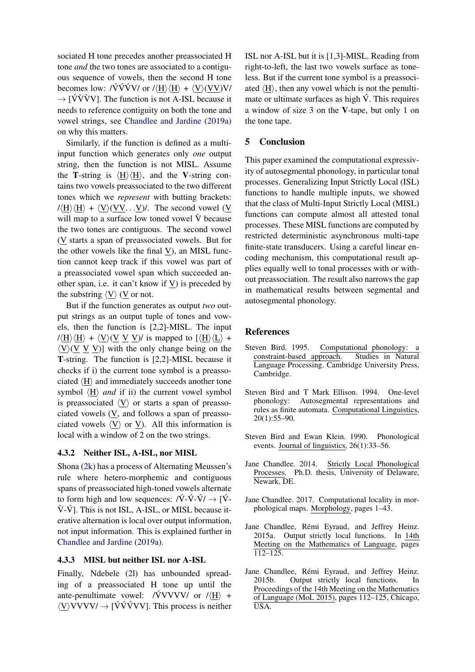sociated H tone precedes another preassociated H tone *and* the two tones are associated to a contiguous sequence of vowels, then the second H tone becomes low: / $\sqrt{V}VV$  or / $\langle H \rangle \langle H \rangle + \langle V \rangle \langle VV \rangle V/$  $\rightarrow$  [VVVV]. The function is not A-ISL because it needs to reference contiguity on both the tone and vowel strings, see [Chandlee and Jardine](#page-9-9) [\(2019a\)](#page-9-9) on why this matters.

Similarly, if the function is defined as a multiinput function which generates only *one* output string, then the function is not MISL. Assume the **T**-string is  $\langle H \rangle \langle H \rangle$ , and the **V**-string contains two vowels preassociated to the two different tones which we *represent* with butting brackets:  $/\langle H \rangle \langle H \rangle + \langle V \rangle \langle VV \rangle$ . V). The second vowel (V) will map to a surface low toned vowel  $\hat{V}$  because the two tones are contiguous. The second vowel (V starts a span of preassociated vowels. But for the other vowels like the final V), an MISL function cannot keep track if this vowel was part of a preassociated vowel span which succeeded another span, i.e. it can't know if  $V$ ) is preceded by the substring  $\langle V \rangle$  (V or not.

But if the function generates as output *two* output strings as an output tuple of tones and vowels, then the function is [2,2]-MISL. The input  $/\langle H \rangle \langle H \rangle + \langle V \rangle \langle V \rangle$  V V) is mapped to  $\langle H \rangle \langle L \rangle$  +  $\langle V \rangle$ (V V V)] with the only change being on the T-string. The function is [2,2]-MISL because it checks if i) the current tone symbol is a preassociated  $\langle H \rangle$  and immediately succeeds another tone symbol  $\langle H \rangle$  *and* if ii) the current vowel symbol is preassociated  $\langle V \rangle$  or starts a span of preassociated vowels (V, and follows a span of preassociated vowels  $\langle V \rangle$  or  $\underline{V}$ ). All this information is local with a window of 2 on the two strings.

## <span id="page-8-7"></span>4.3.2 Neither ISL, A-ISL, nor MISL

Shona [\(2k](#page-5-0)) has a process of Alternating Meussen's rule where hetero-morphemic and contiguous spans of preassociated high-toned vowels alternate to form high and low sequences:  $\sqrt{V-V} - \sqrt{V}$  $\hat{V}$ - $\hat{V}$ ]. This is not ISL, A-ISL, or MISL because iterative alternation is local over output information, not input information. This is explained further in [Chandlee and Jardine](#page-9-9) [\(2019a\)](#page-9-9).

## <span id="page-8-8"></span>4.3.3 MISL but neither ISL nor A-ISL

Finally, Ndebele [\(2l](#page-5-0)) has unbounded spreading of a preassociated H tone up until the ante-penultimate vowel: / $\hat{V}VVVV/$  or / $\langle H \rangle$  +  $\langle V \rangle V V V V / \rightarrow [\dot{V} \dot{V} \dot{V} V V]$ . This process is neither ISL nor A-ISL but it is [1,3]-MISL. Reading from right-to-left, the last two vowels surface as toneless. But if the current tone symbol is a preassociated  $\langle H \rangle$ , then any vowel which is not the penultimate or ultimate surfaces as high  $\acute{V}$ . This requires a window of size 3 on the V-tape, but only 1 on the tone tape.

### 5 Conclusion

This paper examined the computational expressivity of autosegmental phonology, in particular tonal processes. Generalizing Input Strictly Local (ISL) functions to handle multiple inputs, we showed that the class of Multi-Input Strictly Local (MISL) functions can compute almost all attested tonal processes. These MISL functions are computed by restricted deterministic asynchronous multi-tape finite-state transducers. Using a careful linear encoding mechanism, this computational result applies equally well to tonal processes with or without preassociation. The result also narrows the gap in mathematical results between segmental and autosegmental phonology.

### **References**

- <span id="page-8-5"></span>Steven Bird. 1995. Computational phonology: a constraint-based approach. Studies in Natural Language Processing. Cambridge University Press, Cambridge.
- <span id="page-8-6"></span>Steven Bird and T Mark Ellison. 1994. One-level phonology: Autosegmental representations and rules as finite automata. Computational Linguistics, 20(1):55–90.
- <span id="page-8-4"></span>Steven Bird and Ewan Klein. 1990. Phonological events. Journal of linguistics, 26(1):33–56.
- <span id="page-8-0"></span>Jane Chandlee. 2014. Strictly Local Phonological Processes. Ph.D. thesis, University of Delaware, Newark, DE.
- <span id="page-8-1"></span>Jane Chandlee. 2017. Computational locality in morphological maps. Morphology, pages 1–43.
- <span id="page-8-2"></span>Jane Chandlee, Rémi Eyraud, and Jeffrey Heinz. 2015a. Output strictly local functions. In 14th Meeting on the Mathematics of Language, pages 112–125.
- <span id="page-8-3"></span>Jane Chandlee, Rémi Eyraud, and Jeffrey Heinz. 2015b. Output strictly local functions. In Proceedings of the 14th Meeting on the Mathematics of Language (MoL 2015), pages 112–125, Chicago, USA.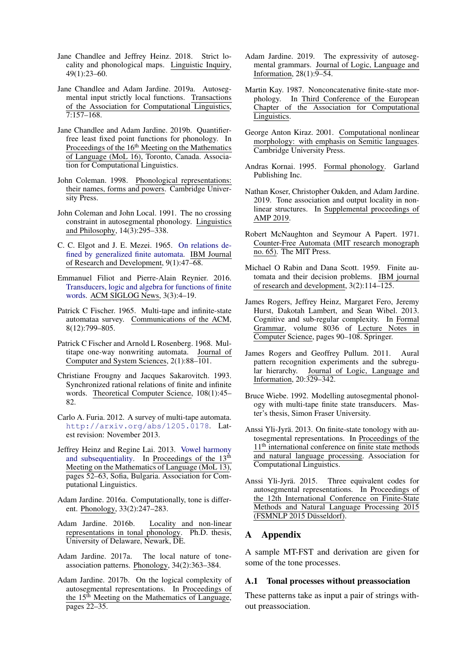- <span id="page-9-4"></span>Jane Chandlee and Jeffrey Heinz. 2018. Strict locality and phonological maps. Linguistic Inquiry, 49(1):23–60.
- <span id="page-9-9"></span>Jane Chandlee and Adam Jardine. 2019a. Autosegmental input strictly local functions. Transactions of the Association for Computational Linguistics, 7:157–168.
- <span id="page-9-24"></span>Jane Chandlee and Adam Jardine. 2019b. Quantifierfree least fixed point functions for phonology. In Proceedings of the 16<sup>th</sup> Meeting on the Mathematics of Language (MoL 16), Toronto, Canada. Association for Computational Linguistics.
- <span id="page-9-22"></span>John Coleman. 1998. Phonological representations: their names, forms and powers. Cambridge University Press.
- <span id="page-9-21"></span>John Coleman and John Local. 1991. The no crossing constraint in autosegmental phonology. Linguistics and Philosophy, 14(3):295–338.
- <span id="page-9-18"></span>C. C. Elgot and J. E. Mezei. 1965. [On relations de](https://doi.org/10.1147/rd.91.0047)[fined by generalized finite automata.](https://doi.org/10.1147/rd.91.0047) IBM Journal of Research and Development, 9(1):47–68.
- <span id="page-9-14"></span>Emmanuel Filiot and Pierre-Alain Reynier. 2016. [Transducers, logic and algebra for functions of finite](https://doi.org/10.1145/2984450.2984453) [words.](https://doi.org/10.1145/2984450.2984453) ACM SIGLOG News, 3(3):4–19.
- <span id="page-9-19"></span>Patrick C Fischer. 1965. Multi-tape and infinite-state automataa survey. Communications of the ACM, 8(12):799–805.
- <span id="page-9-20"></span>Patrick C Fischer and Arnold L Rosenberg. 1968. Multitape one-way nonwriting automata. Journal of Computer and System Sciences, 2(1):88–101.
- <span id="page-9-16"></span>Christiane Frougny and Jacques Sakarovitch. 1993. Synchronized rational relations of finite and infinite words. Theoretical Computer Science, 108(1):45– 82.
- <span id="page-9-15"></span>Carlo A. Furia. 2012. A survey of multi-tape automata. <http://arxiv.org/abs/1205.0178>. Latest revision: November 2013.
- <span id="page-9-3"></span>Jeffrey Heinz and Regine Lai. 2013. [Vowel harmony](http://www.aclweb.org/anthology/W13-3006) [and subsequentiality.](http://www.aclweb.org/anthology/W13-3006) In Proceedings of the 13<sup>th</sup> Meeting on the Mathematics of Language (MoL 13), pages 52–63, Sofia, Bulgaria. Association for Computational Linguistics.
- <span id="page-9-5"></span>Adam Jardine. 2016a. Computationally, tone is different. Phonology, 33(2):247–283.
- <span id="page-9-6"></span>Adam Jardine. 2016b. Locality and non-linear representations in tonal phonology. Ph.D. thesis, University of Delaware, Newark, DE.
- <span id="page-9-7"></span>Adam Jardine. 2017a. The local nature of toneassociation patterns. Phonology, 34(2):363–384.
- <span id="page-9-25"></span>Adam Jardine. 2017b. On the logical complexity of autosegmental representations. In Proceedings of the 15<sup>th</sup> Meeting on the Mathematics of Language, pages 22–35.
- <span id="page-9-8"></span>Adam Jardine. 2019. The expressivity of autosegmental grammars. Journal of Logic, Language and Information, 28(1):9–54.
- <span id="page-9-27"></span>Martin Kay. 1987. Nonconcatenative finite-state morphology. In Third Conference of the European Chapter of the Association for Computational Linguistics.
- <span id="page-9-26"></span>George Anton Kiraz. 2001. Computational nonlinear morphology: with emphasis on Semitic languages. Cambridge University Press.
- <span id="page-9-10"></span>Andras Kornai. 1995. Formal phonology. Garland Publishing Inc.
- <span id="page-9-23"></span>Nathan Koser, Christopher Oakden, and Adam Jardine. 2019. Tone association and output locality in nonlinear structures. In Supplemental proceedings of AMP 2019.
- <span id="page-9-0"></span>Robert McNaughton and Seymour A Papert. 1971. Counter-Free Automata (MIT research monograph no. 65). The MIT Press.
- <span id="page-9-17"></span>Michael O Rabin and Dana Scott. 1959. Finite automata and their decision problems. IBM journal of research and development, 3(2):114–125.
- <span id="page-9-2"></span>James Rogers, Jeffrey Heinz, Margaret Fero, Jeremy Hurst, Dakotah Lambert, and Sean Wibel. 2013. Cognitive and sub-regular complexity. In Formal Grammar, volume 8036 of Lecture Notes in Computer Science, pages 90–108. Springer.
- <span id="page-9-1"></span>James Rogers and Geoffrey Pullum. 2011. Aural pattern recognition experiments and the subregular hierarchy. Journal of Logic, Language and Information, 20:329–342.
- <span id="page-9-11"></span>Bruce Wiebe. 1992. Modelling autosegmental phonology with multi-tape finite state transducers. Master's thesis, Simon Fraser University.
- <span id="page-9-12"></span>Anssi Yli-Jyrä. 2013. On finite-state tonology with autosegmental representations. In Proceedings of the  $11<sup>th</sup>$  international conference on finite state methods and natural language processing. Association for Computational Linguistics.
- <span id="page-9-13"></span>Anssi Yli-Jyrä. 2015. Three equivalent codes for autosegmental representations. In Proceedings of the 12th International Conference on Finite-State Methods and Natural Language Processing 2015 (FSMNLP 2015 Düsseldorf).

# A Appendix

A sample MT-FST and derivation are given for some of the tone processes.

### A.1 Tonal processes without preassociation

These patterns take as input a pair of strings without preassociation.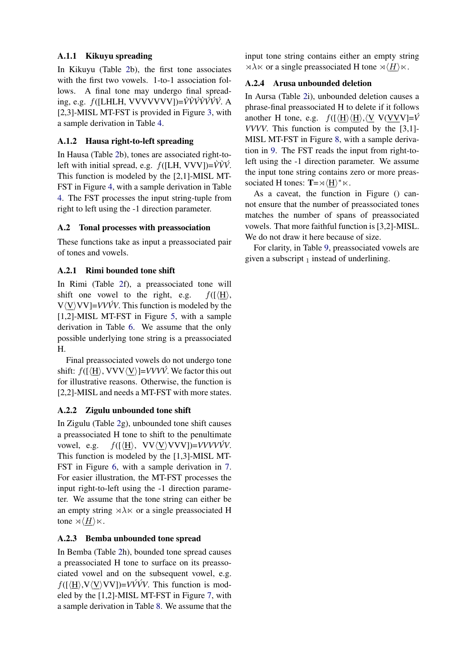# A.1.1 Kikuyu spreading

In Kikuyu (Table [2b](#page-5-0)), the first tone associates with the first two vowels. 1-to-1 association follows. A final tone may undergo final spreading, e.g. *f*([LHLH, VVVVVVV])= $\dot{V}\dot{V}\dot{V}\dot{V}\dot{V}\dot{V}\dot{V}$ . A [2,3]-MISL MT-FST is provided in Figure [3,](#page-11-0) with a sample derivation in Table [4.](#page-11-1)

# A.1.2 Hausa right-to-left spreading

In Hausa (Table [2b](#page-5-0)), tones are associated right-toleft with initial spread, e.g.  $f([LH, VVV]) = \hat{V}\hat{V}\hat{V}$ . This function is modeled by the [2,1]-MISL MT-FST in Figure [4,](#page-12-0) with a sample derivation in Table [4.](#page-11-1) The FST processes the input string-tuple from right to left using the -1 direction parameter.

# A.2 Tonal processes with preassociation

These functions take as input a preassociated pair of tones and vowels.

# A.2.1 Rimi bounded tone shift

In Rimi (Table [2f](#page-5-0)), a preassociated tone will shift one vowel to the right, e.g.  $f(\frac{H}{H})$ ,  $V\langle V\rangle VV$ ]=*VVVV*. This function is modeled by the [1,2]-MISL MT-FST in Figure [5,](#page-12-1) with a sample derivation in Table [6.](#page-13-0) We assume that the only possible underlying tone string is a preassociated H.

Final preassociated vowels do not undergo tone shift:  $f([H], VVV\langle V\rangle) = VVVV\hat{V}$ . We factor this out for illustrative reasons. Otherwise, the function is [2,2]-MISL and needs a MT-FST with more states.

# A.2.2 Zigulu unbounded tone shift

In Zigulu (Table [2g](#page-5-0)), unbounded tone shift causes a preassociated H tone to shift to the penultimate vowel, e.g.  $f(\{\underline{H}\}, VV\langle V\rangle VVV) = VVVV\hat{V}V$ . This function is modeled by the [1,3]-MISL MT-FST in Figure [6,](#page-13-1) with a sample derivation in [7.](#page-13-2) For easier illustration, the MT-FST processes the input right-to-left using the -1 direction parameter. We assume that the tone string can either be an empty string  $\forall \lambda \times \text{or a single preassociated H}$ tone  $\rtimes \langle H \rangle \ltimes$ .

# A.2.3 Bemba unbounded tone spread

In Bemba (Table [2h](#page-5-0)), bounded tone spread causes a preassociated H tone to surface on its preassociated vowel and on the subsequent vowel, e.g.  $f(\frac{\mu}{N}, V\langle V\rangle VV)$ =*VVVV*. This function is modeled by the [1,2]-MISL MT-FST in Figure [7,](#page-14-0) with a sample derivation in Table [8.](#page-13-3) We assume that the input tone string contains either an empty string  $\forall \lambda \times \text{or a single preassociated H tone } \forall \langle H \rangle \times$ .

# A.2.4 Arusa unbounded deletion

In Aursa (Table [2i](#page-5-0)), unbounded deletion causes a phrase-final preassociated H to delete if it follows another H tone, e.g.  $f(\frac{\langle H \rangle}{\langle H \rangle}, \langle V \ V(VVV)] = \hat{V}$ *VVVV*. This function is computed by the [3,1]- MISL MT-FST in Figure [8,](#page-14-1) with a sample derivation in [9.](#page-15-0) The FST reads the input from right-toleft using the -1 direction parameter. We assume the input tone string contains zero or more preassociated H tones:  $T = \sqrt{\langle H \rangle^*} \times$ .

As a caveat, the function in Figure () cannot ensure that the number of preassociated tones matches the number of spans of preassociated vowels. That more faithful function is [3,2]-MISL. We do not draw it here because of size.

For clarity, in Table [9,](#page-15-0) preassociated vowels are given a subscript  $_1$  instead of underlining.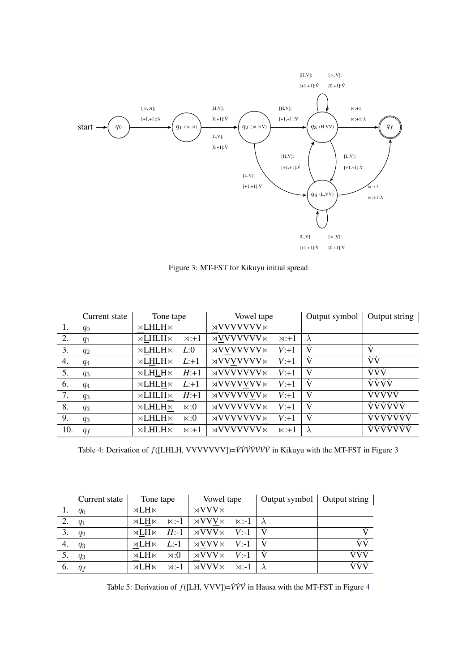<span id="page-11-0"></span>

Figure 3: MT-FST for Kikuyu initial spread

<span id="page-11-1"></span>

|     | Current state | Tone tape                |                | Vowel tape                                      |               | Output symbol | Output string |
|-----|---------------|--------------------------|----------------|-------------------------------------------------|---------------|---------------|---------------|
| 1.  | $q_0$         | $\rtimes$ LHLH $\ltimes$ |                | $\rtimes$ VVVVVVV $\ltimes$                     |               |               |               |
| 2.  | $q_1$         | $\rtimes$ LHLH $\ltimes$ | $\times : +1$  | $\rtimes$ VVVVVVV $\ltimes$                     | $\times : +1$ | $\lambda$     |               |
| 3.  | $q_2$         | $\rtimes$ LHLH $\ltimes$ | L:0            | $\rtimes$ VVVVVVV $\ltimes$                     | $V: +1$       | V             | V             |
| 4.  | $q_4$         | $\rtimes$ LHLH $\ltimes$ | $L:+1$         | $\rtimes \text{VV} \text{VV} \text{VV} \rtimes$ | $V: +1$       | Ŵ             | νý            |
| 5.  | $q_3$         | $\rtimes$ LHLH $\ltimes$ | $H: +1$        | $\rtimes$ VVVVVVV $\ltimes$                     | $V: +1$       | Ý             | <b>VVV</b>    |
| 6.  | $q_4$         | $\rtimes$ LHLH $\ltimes$ | $L:+1$         | $\rtimes$ VVVVVVV $\ltimes$                     | $V: +1$       | Ŵ             | <b>VVVV</b>   |
| 7.  | $q_3$         | $\rtimes$ LHLH $\ltimes$ | $H: +1$        | $\rtimes$ VVVVVVV $\ltimes$                     | $V: +1$       | ý             | <b>VÝÝÝÝ</b>  |
| 8.  | $q_3$         | $\rtimes$ LHLH $\ltimes$ | $\times:0$     | $\rtimes$ VVVVVVV $\ltimes$                     | $V: +1$       | Ý             | <b>VÝÝVÝÝ</b> |
| 9.  | $q_3$         | $\rtimes$ LHLH $\ltimes$ | $\times:0$     | $\rtimes$ VVVVVVV $\ltimes$                     | $V: +1$       | ý             | VVVVVVV       |
| 10. | $q_f$         | $\rtimes$ LHLH $\ltimes$ | $\ltimes : +1$ | $\rtimes$ VVVVVVV $\ltimes$                     | $\times: +1$  | $\lambda$     | VVVVVVV       |

Table 4: Derivation of  $f([LHLH, VVVVVVV])=V\dot{V}\dot{V}\dot{V}\dot{V}\dot{V}\dot{V}\dot{V}$  in Kikuyu with the MT-FST in Figure [3](#page-11-0)

|    | Current state | Tone tape            |               | Vowel tape              |               | Output symbol   Output string |     |
|----|---------------|----------------------|---------------|-------------------------|---------------|-------------------------------|-----|
|    | $q_0$         | $\rtimes LH \ltimes$ |               | $\rtimes$ VVV $\ltimes$ |               |                               |     |
|    | $q_1$         | $\rtimes LH \ltimes$ | $\ltimes: -1$ | $\rtimes$ VVV $\ltimes$ | $\ltimes:1$   |                               |     |
| 3. | $q_2$         | $\rtimes LH \ltimes$ | $H$ :-1       | $\rtimes$ VVV $\ltimes$ | $V$ :-1       |                               |     |
| 4. | $q_3$         | $\rtimes LH \ltimes$ | $L$ :-1       | $\rtimes$ VVV $\ltimes$ | $V$ :-1       |                               | ÙÝ  |
| 5. | $q_3$         | $\times LH \times$   | $0:\ltimes$   | $\rtimes$ VVV $\ltimes$ | $V$ :-1       |                               | ÙÙÚ |
| 6. | $q_f$         | $\times$ LH $\times$ | $\rtimes: -1$ | $\rtimes$ VVV $\ltimes$ | $\rtimes$ :-1 |                               | ÙÙÚ |

Table 5: Derivation of *f*([LH, VVV])=*V`V`V´* in Hausa with the MT-FST in Figure [4](#page-12-0)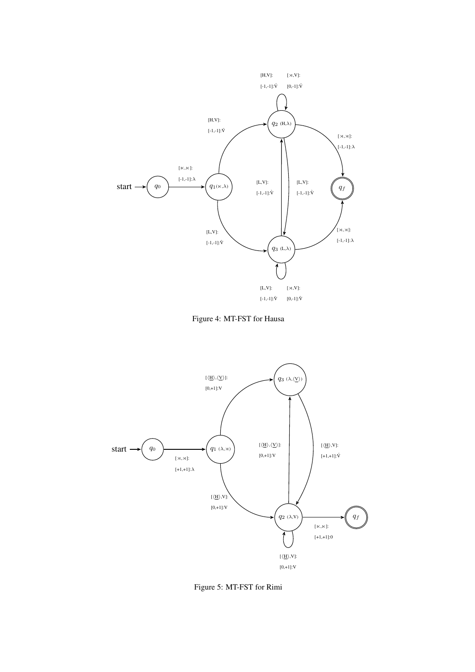<span id="page-12-0"></span>



<span id="page-12-1"></span>

Figure 5: MT-FST for Rimi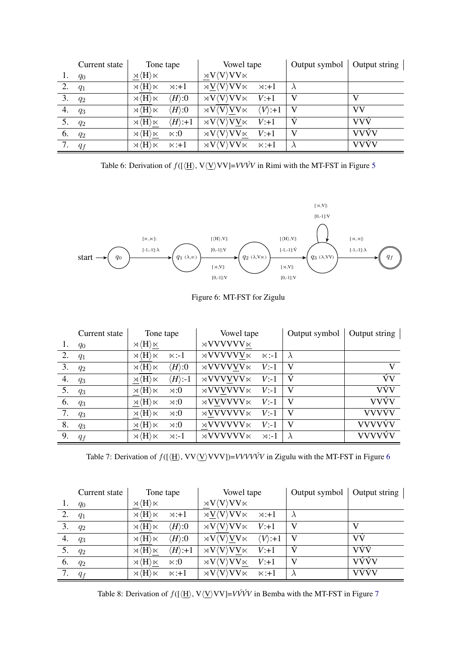<span id="page-13-0"></span>

|    | Current state | Tone tape                            |                         | Vowel tape                                                                           |                         | Output symbol | Output string |
|----|---------------|--------------------------------------|-------------------------|--------------------------------------------------------------------------------------|-------------------------|---------------|---------------|
|    | $q_0$         | $\times$ $\langle H \rangle \ltimes$ |                         | $\rtimes V\langle V\rangle VV\ltimes$                                                |                         |               |               |
| 2. | $q_1$         | $\times$ $\langle H \rangle \ltimes$ | $\times : +1$           | $\rtimes \mathrm{V}\langle \mathrm{V}\rangle \mathrm{V}\mathrm{V}\ltimes \mathbb{R}$ | $\times : +1$           |               |               |
| 3. | $q_2$         | $\times \langle H \rangle \ltimes$   | $\langle H \rangle$ :0  | $\rtimes V \langle V \rangle V V \ltimes$                                            | $V: +1$                 | V             | V             |
| 4. | $q_3$         | $\times$ $\langle H \rangle \ltimes$ | $\langle H \rangle$ :0  | $\rtimes V \langle V \rangle V V \ltimes$                                            | $\langle V \rangle$ :+1 | V             | <b>VV</b>     |
| 5. | $q_2$         | $\times \langle H \rangle \ltimes$   | $\langle H \rangle$ :+1 | $\rtimes V\langle V\rangle VV\ltimes$                                                | $V: +1$                 |               | <b>VVV</b>    |
| 6. | $q_2$         | $\times \langle H \rangle \ltimes$   | $\ltimes:0$             | $\rtimes V\langle V\rangle VV\ltimes$                                                | $V: +1$                 | V             | <b>VVVV</b>   |
|    | $q_f$         | $\times$ $\langle H \rangle \ltimes$ | $x: +1$                 | $\rtimes V \langle V \rangle V V \ltimes$                                            | $\times: +1$            |               | <b>VVVV</b>   |

Table 6: Derivation of  $f(\frac{H}{N}, V\langle V\rangle VV) = VV\hat{V}V$  in Rimi with the MT-FST in Figure [5](#page-12-1)

<span id="page-13-1"></span>

Figure 6: MT-FST for Zigulu

<span id="page-13-2"></span>

|    | Current state | Tone tape                            |                         | Vowel tape                 |               | Output symbol | Output string |
|----|---------------|--------------------------------------|-------------------------|----------------------------|---------------|---------------|---------------|
| 1. | $q_0$         | $\times \langle H \rangle \ltimes$   |                         | $\rtimes$ VVVVVV $\ltimes$ |               |               |               |
| 2. | $q_1$         | $\times$ $\langle H \rangle \ltimes$ | $\ltimes:1$             | $\rtimes$ VVVVVV $\ltimes$ | $\ltimes$ :-1 | $\lambda$     |               |
| 3. | $q_2$         | $\rtimes \langle H \rangle \ltimes$  | $\langle H \rangle$ :0  | $\rtimes$ VVVVVV $\ltimes$ | $V$ :-1       | V             | V             |
| 4. | $q_3$         | $\rtimes \langle H \rangle \ltimes$  | $\langle H \rangle$ :-1 | $\rtimes$ VVVVVV $\ltimes$ | $V: -1$       | ý             | Ńν            |
| 5. | $q_3$         | $\rtimes \langle H \rangle \ltimes$  | $\otimes$ :             | $\rtimes \text{VVVVVV}$    | $V: -1$       | V             | VÝV           |
| 6. | $q_3$         | $\rtimes \langle H \rangle \ltimes$  | $\otimes$ :             | $\rtimes$ VVVVVV $\ltimes$ | $V: -1$       | V             | <b>VVÝV</b>   |
| 7. | $q_3$         | $\rtimes \langle H \rangle \ltimes$  | $\otimes$ :             | $\rtimes$ VVVVVV $\ltimes$ | $V$ :-1       | V             | <b>VVVVV</b>  |
| 8. | $q_3$         | $\rtimes \langle H \rangle \ltimes$  | $\otimes$ :             | $\rtimes$ VVVVVV $\ltimes$ | $V: -1$       | V             | <b>VVVVVV</b> |
| 9. | $q_f$         | $\rtimes \langle H \rangle \ltimes$  | $\rtimes: -1$           | $\rtimes$ VVVVVV $\ltimes$ | $\rtimes: -1$ | $\lambda$     | VVVVVV        |

Table 7: Derivation of  $f([\langle \underline{H} \rangle, VV \langle \underline{V} \rangle VVV)$ =*VVVVV* in Zigulu with the MT-FST in Figure [6](#page-13-1)

<span id="page-13-3"></span>

|    | Current state | Tone tape                            |                         | Vowel tape                                                          |                         | Output symbol | Output string $ $ |
|----|---------------|--------------------------------------|-------------------------|---------------------------------------------------------------------|-------------------------|---------------|-------------------|
| 1. | $q_0$         | $\rtimes \langle H \rangle \ltimes$  |                         | $\rtimes V\langle V\rangle VV\ltimes$                               |                         |               |                   |
| 2. | $q_1$         | $\times$ $\langle H \rangle \ltimes$ | $\times : +1$           | $\langle \Delta V \rangle$ $\langle V \rangle$ $\forall$ $V \times$ | $\times : +1$           |               |                   |
| 3. | $q_2$         | $\rtimes \langle H \rangle \ltimes$  | $\langle H \rangle$ :0  | $\rtimes V \langle V \rangle V V \ltimes$                           | $V: +1$                 | V             | V                 |
| 4. | $q_3$         | $\rtimes \langle H \rangle \ltimes$  | $\langle H \rangle$ :0  | $\rtimes V \langle V \rangle V V \ltimes$                           | $\langle V \rangle$ :+1 | V             | VV                |
|    | $q_2$         | $\rtimes \langle H \rangle \ltimes$  | $\langle H \rangle$ :+1 | $\rtimes V\langle V\rangle VV\ltimes$                               | $V: +1$                 |               | VÝÝ               |
| 6. | $q_2$         | $\times$ $\langle H \rangle \ltimes$ | $\ltimes:0$             | $\forall V \times$<br>$\rtimes V\langle V\rangle$                   | $V: +1$                 | V             | VÝÝV              |
|    | $q_f$         | $\times$ $\langle H \rangle \ltimes$ | $x: +1$                 | $\rtimes V \langle V \rangle V V \ltimes$                           | $\times: +1$            |               | VÝÝV              |

Table 8: Derivation of  $f(\{\underline{H}\}, V\langle \underline{V}\rangle VV) = V\hat{V}\hat{V}V$  in Bemba with the MT-FST in Figure [7](#page-14-0)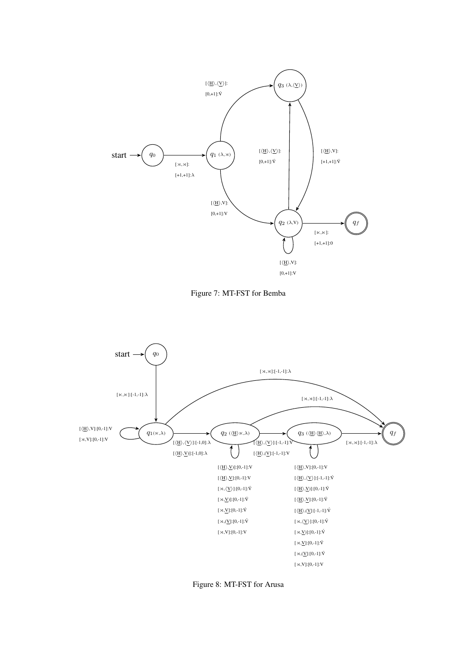<span id="page-14-0"></span>



<span id="page-14-1"></span>

Figure 8: MT-FST for Arusa